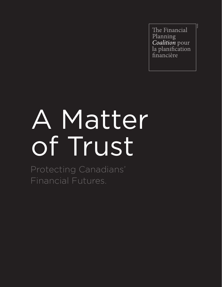The Financial Planning Coalition pour la planification financière

TM/MD

# A Matter of Trust

Protecting Canadians' Financial Futures.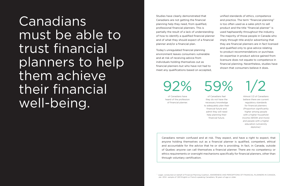Studies have clearly demonstrated that Canadians are not getting the financial planning help they need, from qualified, professional financial planners. This is partially the result of a lack of understanding of how to identify a qualified financial planner and of what they should expect of a financial planner and/or a financial plan.

Today's unregulated financial planning environment leaves consumers vulnerable and at risk of receiving advice from individuals holding themselves out as financial planners but who have not had to meet any qualifications based on accepted,

Canadians must be able to trust financial planners to help them achieve their financial well-being.

Almost 1/2 of Canadians believe there are current regulatory standards for financial planners: (Proportion significantly higher among people with a higher household income (\$100K and more) and people with a higher education (university  $diploma$ ).<sup>1</sup>

Canadians remain confused and at risk. They expect, and have a right to expect, that anyone holding themselves out as a financial planner is qualified, competent, ethical and accountable for the advice that he or she is providing. In fact, in Canada, outside of Quebec anyone can call themselves a financial planner. There are no competency or ethics requirements or oversight mechanisms specifically for financial planners, other than through voluntary certification.

of Canadians have heard of the profession of financial planner.

92% 59%

of Canadians feel they do not have the necessary knowledge to adequately plan their financial future and admit they will need help planning their financial future.

Jan. 2014 sample of 1,501 English or French-speaking Canadians, 18 years of age or older.

unified standards of ethics, competence and practice. The term "financial planning" is too often used as a sales pitch to sell product and the title "financial planner" is used haphazardly throughout the industry. The majority of those people in Canada who imply through title and/or advertising that they are financial planners are in fact licensed and qualified only to give advice relating to product recommendations or purchase. An expertise in product advice gained from licensure does not equate to competence in financial planning. Nevertheless, studies have shown that consumers believe it does.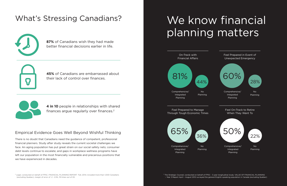## What's Stressing Canadians?



There is no doubt that Canadians need the guidance of competent, professional financial planners. Study after study reveals the current societal challenges we face. An aging population has put great strain on our social safety nets; consumer debt levels continue to escalate; and gaps in workplace wellness programs have left our population in the most financially vulnerable and precarious positions that we have experienced in decades.

## We know financial planning matters

### Empirical Evidence Goes Well Beyond Wishful Thinking

**87%** of Canadians wish they had made better financial decisions earlier in life.

**45%** of Canadians are embarrassed about their lack of control over finances.



**4 in 10** people in relationships with shared finances argue regularly over finances.2

Feel Prepared to Manage Through Tough Economic Times

Planning







2 Leger, conducted on behalf of FPSC, FINANCIAL PLANNING REPORT Fall, 2014; included more than 1,000 Canadians (excluding Quebec); margin of error of +/- 2.5%, 19 times out of 20.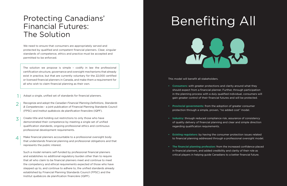We need to ensure that consumers are appropriately served and protected by qualified and competent financial planners. Clear, singular standards of competence, ethics and practice must be accepted and permitted to be enforced.

- Recognize and adopt the *Canadian Financial Planning Definitions, Standards & Competencies* - a joint publication of Financial Planning Standards Council (FPSC) and Institut québécois de planification financière (IQPF). 2
- Create title and holding out restrictions to only those who have demonstrated their competence by meeting a single set of unified qualification standards, ongoing professional ethics and continuous professional development requirements. 3
- Make financial planners accountable to a professional oversight body that understands financial planning and professional obligations and that represents the public interest.  $\Delta$

Such a model remains self-funded by professional financial planners and establishes no additional regulatory burden other than to require that all who claim to be financial planners meet and continue to meet the competency and ethical requirements expected of those who have stepped up to, and continue to adhere to, the unified standards already established by Financial Planning Standards Council (FPSC) and the Institut québécois de planification financière (IQPF).

Adopt a single, unified set of standards for financial planners. 1

This model will benefit all stakeholders.

**• Consumers:** with greater protections and clarity around what they should expect from a financial planner. Further, through participation in the planning process with a duly qualified individual, consumers will gain greater control of their financial futures and will be protected.

**• Provincial governments:** from the adoption of greater consumer

- 
- protection through a simple, proven, "no added cost" model.
- regarding qualification requirements.
- 
- 

**• Industry:** through reduced compliance risk, assurance of consistency of quality delivery of financial planning and clear and simple direction

**• Existing regulators:** by having the consumer protection issues related to financial planning addressed through a professional oversight model.

**• The financial planning profession:** from the increased confidence placed in financial planners, and added credibility and clarity of their role as critical players in helping guide Canadians to a better financial future.

## Protecting Canadians' Financial Futures: The Solution



The solution we propose is simple – codify in law the professional certification structure, governance and oversight mechanisms that already exist in practice, but that are currently voluntary for the 22,000 certified or licensed financial planners in Canada, and make them a requirement for all who wish to claim financial planning as their own.